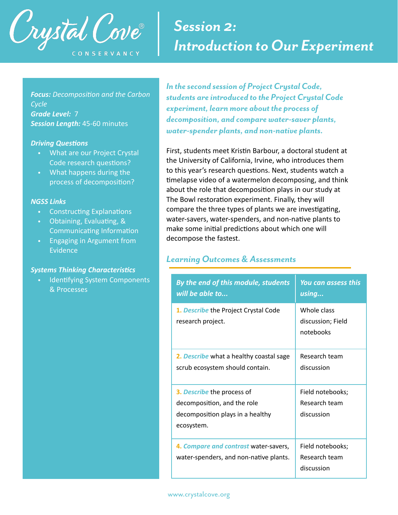

# *Session 2: Introduction to Our Experiment*

*Focus: Decomposition and the Carbon Cycle Grade Level:* 7 *Session Length:* 45-60 minutes

#### **Driving Questions**

- What are our Project Crystal Code research questions?
- What happens during the process of decomposition?

#### *NGSS Links*

- Constructing Explanations
- Obtaining, Evaluating, & Communicating Information
- Engaging in Argument from Evidence

#### **Systems Thinking Characteristics**

• Identifying System Components & Processes

*In the second session of Project Crystal Code, students are introduced to the Project Crystal Code experiment, learn more about the process of decomposition, and compare water-saver plants, water-spender plants, and non-native plants.* 

First, students meet Kristin Barbour, a doctoral student at the University of California, Irvine, who introduces them to this year's research questions. Next, students watch a timelapse video of a watermelon decomposing, and think about the role that decomposition plays in our study at The Bowl restoration experiment. Finally, they will compare the three types of plants we are investigating, water-savers, water-spenders, and non-native plants to make some initial predictions about which one will decompose the fastest.

#### *Learning Outcomes & Assessments*

| By the end of this module, students<br>will be able to                                                      | <b>You can assess this</b><br>using             |  |
|-------------------------------------------------------------------------------------------------------------|-------------------------------------------------|--|
| 1. Describe the Project Crystal Code<br>research project.                                                   | Whole class<br>discussion; Field<br>notebooks   |  |
| 2. Describe what a healthy coastal sage<br>scrub ecosystem should contain.                                  | Research team<br>discussion                     |  |
| 3. Describe the process of<br>decomposition, and the role<br>decomposition plays in a healthy<br>ecosystem. | Field notebooks;<br>Research team<br>discussion |  |
| 4. Compare and contrast water-savers,<br>water-spenders, and non-native plants.                             | Field notebooks;<br>Research team<br>discussion |  |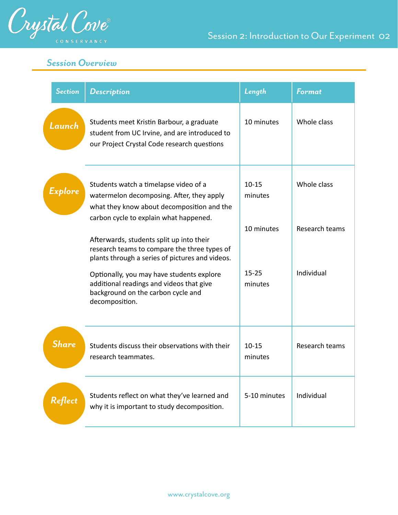

# *Session Overview*

| <b>Section</b> | <b>Description</b>                                                                                                                                                         | Length               | <b>Format</b>  |
|----------------|----------------------------------------------------------------------------------------------------------------------------------------------------------------------------|----------------------|----------------|
| Launch         | Students meet Kristin Barbour, a graduate<br>student from UC Irvine, and are introduced to<br>our Project Crystal Code research questions                                  | 10 minutes           | Whole class    |
| Explore        | Students watch a timelapse video of a<br>watermelon decomposing. After, they apply<br>what they know about decomposition and the<br>carbon cycle to explain what happened. | $10 - 15$<br>minutes | Whole class    |
|                | Afterwards, students split up into their<br>research teams to compare the three types of<br>plants through a series of pictures and videos.                                | 10 minutes           | Research teams |
|                | Optionally, you may have students explore<br>additional readings and videos that give<br>background on the carbon cycle and<br>decomposition.                              | $15 - 25$<br>minutes | Individual     |
| <b>Share</b>   | Students discuss their observations with their<br>research teammates.                                                                                                      | $10 - 15$<br>minutes | Research teams |
| <b>Reflect</b> | Students reflect on what they've learned and<br>why it is important to study decomposition.                                                                                | 5-10 minutes         | Individual     |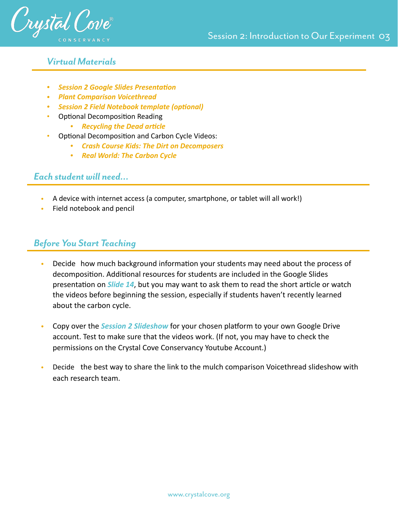

## *Virtual Materials*

- **•** Session 2 Google Slides Presentation
- *• [Plant Comparison Voicethread](https://voicethread.com/myvoice/thread/19365455/)*
- **•** Session 2 Field Notebook template (optional)
- Optional Decomposition Reading
	- **•** *Recycling the Dead article*
- Optional Decomposition and Carbon Cycle Videos:
	- *• [Crash Course Kids: The Dirt on Decomposers](https://www.youtube.com/watch?v=uB61rfeeAsM&ab_channel=CrashCourseKids)*
	- *• [Real World: The Carbon Cycle](https://www.youtube.com/watch?v=hgFpvDNfXOk)*

# *Each student will need…*

- A device with internet access (a computer, smartphone, or tablet will all work!)
- Field notebook and pencil

# *Before You Start Teaching*

- Decide how much background information your students may need about the process of decomposition. Additional resources for students are included in the Google Slides presentation on *Slide 14*, but you may want to ask them to read the short article or watch the videos before beginning the session, especially if students haven't recently learned about the carbon cycle.
- Copy over the *Session 2 Slideshow* for your chosen platform to your own Google Drive account. Test to make sure that the videos work. (If not, you may have to check the permissions on the Crystal Cove Conservancy Youtube Account.)
- Decide the best way to share the link to the mulch comparison Voicethread slideshow with each research team.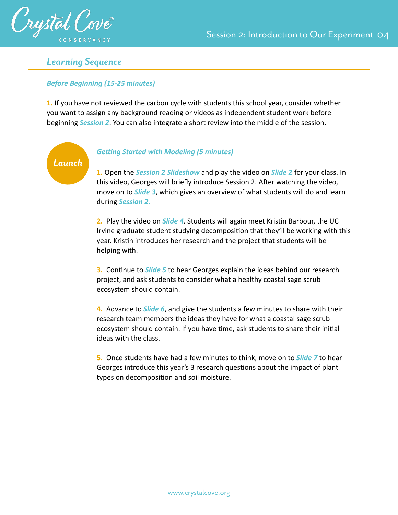

*Launch*

### *Learning Sequence*

#### *Before Beginning (15-25 minutes)*

**1.** If you have not reviewed the carbon cycle with students this school year, consider whether you want to assign any background reading or videos as independent student work before beginning *Session 2*. You can also integrate a short review into the middle of the session.

#### **Getting Started with Modeling (5 minutes)**

#### **1.** Open the *Session 2 Slideshow* and play the video on *Slide 2* for your class. In this video, Georges will briefly introduce Session 2. After watching the video, move on to *Slide 3*, which gives an overview of what students will do and learn during *Session 2.*

**2.** Play the video on *Slide 4*. Students will again meet Kristin Barbour, the UC Irvine graduate student studying decomposition that they'll be working with this year. Kristin introduces her research and the project that students will be helping with.

**3.** Continue to *Slide 5* to hear Georges explain the ideas behind our research project, and ask students to consider what a healthy coastal sage scrub ecosystem should contain.

**4.** Advance to *Slide 6*, and give the students a few minutes to share with their research team members the ideas they have for what a coastal sage scrub ecosystem should contain. If you have time, ask students to share their initial ideas with the class.

**5.** Once students have had a few minutes to think, move on to *Slide 7* to hear Georges introduce this year's 3 research questions about the impact of plant types on decomposition and soil moisture.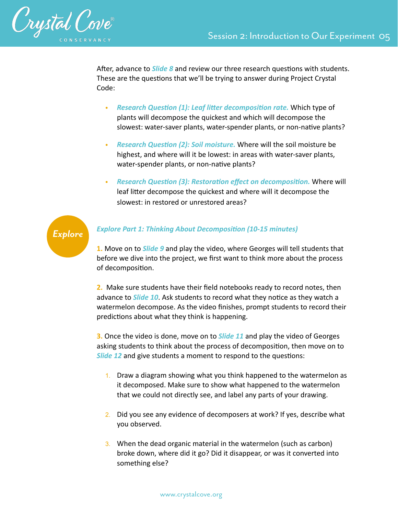

After, advance to *Slide 8* and review our three research questions with students. These are the questions that we'll be trying to answer during Project Crystal Code:

- Research Question (1): Leaf litter decomposition rate. Which type of plants will decompose the quickest and which will decompose the slowest: water-saver plants, water-spender plants, or non-native plants?
- **Research Question (2): Soil moisture.** Where will the soil moisture be highest, and where will it be lowest: in areas with water-saver plants, water-spender plants, or non-native plants?
- **Research Question (3): Restoration effect on decomposition. Where will** leaf litter decompose the quickest and where will it decompose the slowest: in restored or unrestored areas?

# *Explore*

#### **Explore Part 1: Thinking About Decomposition (10-15 minutes)**

**1.** Move on to *Slide 9* and play the video, where Georges will tell students that before we dive into the project, we first want to think more about the process of decomposition.

**2.** Make sure students have their field notebooks ready to record notes, then advance to **Slide 10**. Ask students to record what they notice as they watch a watermelon decompose. As the video finishes, prompt students to record their predictions about what they think is happening.

**3.** Once the video is done, move on to *Slide 11* and play the video of Georges asking students to think about the process of decomposition, then move on to **Slide 12** and give students a moment to respond to the questions:

- 1. Draw a diagram showing what you think happened to the watermelon as it decomposed. Make sure to show what happened to the watermelon that we could not directly see, and label any parts of your drawing.
- 2. Did you see any evidence of decomposers at work? If yes, describe what you observed.
- 3. When the dead organic material in the watermelon (such as carbon) broke down, where did it go? Did it disappear, or was it converted into something else?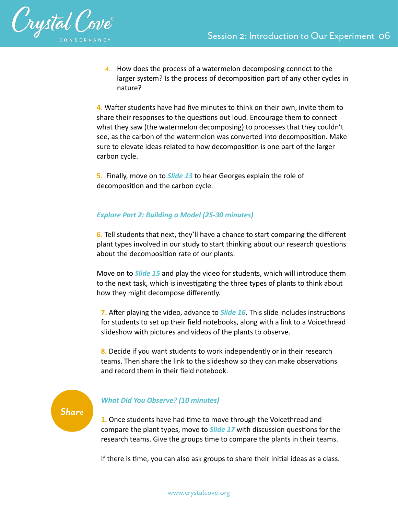

4. How does the process of a watermelon decomposing connect to the larger system? Is the process of decomposition part of any other cycles in nature?

**4**. Wafter students have had five minutes to think on their own, invite them to share their responses to the questions out loud. Encourage them to connect what they saw (the watermelon decomposing) to processes that they couldn't see, as the carbon of the watermelon was converted into decomposition. Make sure to elevate ideas related to how decomposition is one part of the larger carbon cycle.

**5.** Finally, move on to *Slide 13* to hear Georges explain the role of decomposition and the carbon cycle.

#### *Explore Part 2: Building a Model (25-30 minutes)*

**6.** Tell students that next, they'll have a chance to start comparing the different plant types involved in our study to start thinking about our research questions about the decomposition rate of our plants.

Move on to *Slide 15* and play the video for students, which will introduce them to the next task, which is investigating the three types of plants to think about how they might decompose differently.

**7.** After playing the video, advance to **Slide 16**. This slide includes instructions for students to set up their field notebooks, along with a link to a Voicethread slideshow with pictures and videos of the plants to observe.

**8.** Decide if you want students to work independently or in their research teams. Then share the link to the slideshow so they can make observations and record them in their field notebook.

*Share*

#### *What Did You Observe? (10 minutes)*

**1.** Once students have had time to move through the Voicethread and compare the plant types, move to *Slide 17* with discussion questions for the research teams. Give the groups time to compare the plants in their teams.

If there is time, you can also ask groups to share their initial ideas as a class.